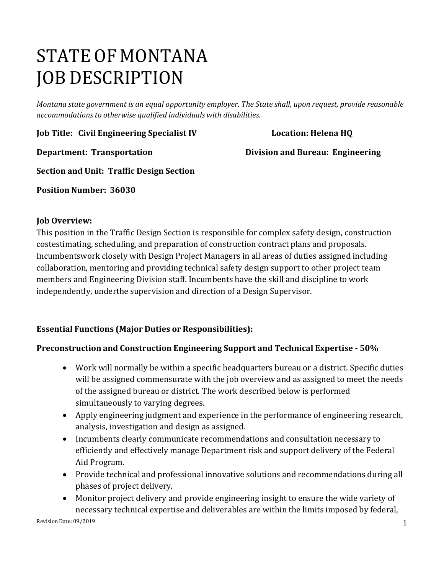# STATE OF MONTANA JOB DESCRIPTION

*Montana state government is an equal opportunity employer. The State shall, upon request, provide reasonable accommodations to otherwise qualified individuals with disabilities.*

**Job Title: Civil Engineering Specialist IV Location: Helena HQ**

**Department: Transportation Division and Bureau: Engineering**

**Section and Unit: Traffic Design Section**

**Position Number: 36030**

# **Job Overview:**

This position in the Traffic Design Section is responsible for complex safety design, construction costestimating, scheduling, and preparation of construction contract plans and proposals. Incumbentswork closely with Design Project Managers in all areas of duties assigned including collaboration, mentoring and providing technical safety design support to other project team members and Engineering Division staff. Incumbents have the skill and discipline to work independently, underthe supervision and direction of a Design Supervisor.

# **Essential Functions (Major Duties or Responsibilities):**

# **Preconstruction and Construction Engineering Support and Technical Expertise - 50%**

- Work will normally be within a specific headquarters bureau or a district. Specific duties will be assigned commensurate with the job overview and as assigned to meet the needs of the assigned bureau or district. The work described below is performed simultaneously to varying degrees.
- Apply engineering judgment and experience in the performance of engineering research, analysis, investigation and design as assigned.
- Incumbents clearly communicate recommendations and consultation necessary to efficiently and effectively manage Department risk and support delivery of the Federal Aid Program.
- Provide technical and professional innovative solutions and recommendations during all phases of project delivery.
- Monitor project delivery and provide engineering insight to ensure the wide variety of necessary technical expertise and deliverables are within the limits imposed by federal,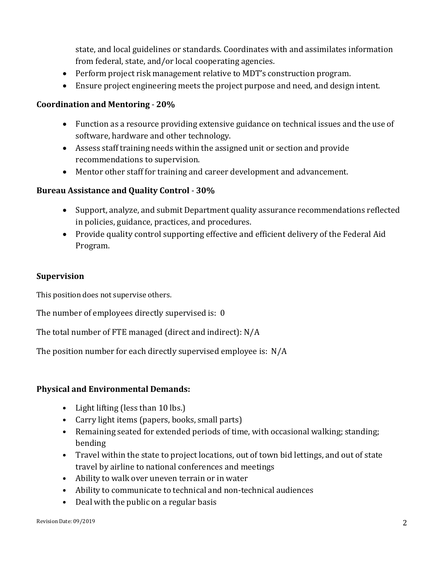state, and local guidelines or standards. Coordinates with and assimilates information from federal, state, and/or local cooperating agencies.

- Perform project risk management relative to MDT's construction program.
- Ensure project engineering meets the project purpose and need, and design intent.

#### **Coordination and Mentoring** - **20%**

- Function as a resource providing extensive guidance on technical issues and the use of software, hardware and other technology.
- Assess staff training needs within the assigned unit or section and provide recommendations to supervision.
- Mentor other staff for training and career development and advancement.

#### **Bureau Assistance and Quality Control** - **30%**

- Support, analyze, and submit Department quality assurance recommendations reflected in policies, guidance, practices, and procedures.
- Provide quality control supporting effective and efficient delivery of the Federal Aid Program.

#### **Supervision**

This position does not supervise others.

The number of employees directly supervised is: 0

The total number of FTE managed (direct and indirect): N/A

The position number for each directly supervised employee is: N/A

#### **Physical and Environmental Demands:**

- Light lifting (less than 10 lbs.)
- Carry light items (papers, books, small parts)
- Remaining seated for extended periods of time, with occasional walking; standing; bending
- Travel within the state to project locations, out of town bid lettings, and out of state travel by airline to national conferences and meetings
- Ability to walk over uneven terrain or in water
- Ability to communicate to technical and non-technical audiences
- Deal with the public on a regular basis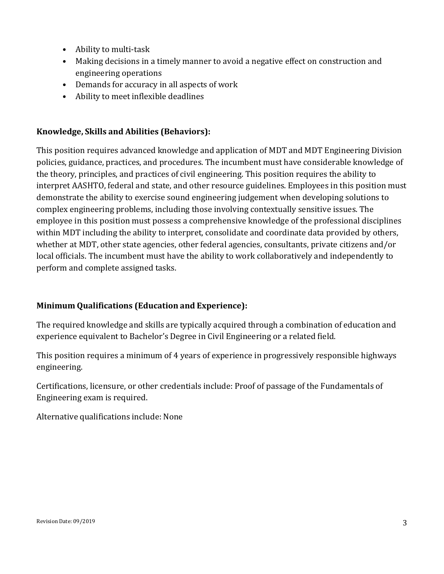- Ability to multi-task
- Making decisions in a timely manner to avoid a negative effect on construction and engineering operations
- Demands for accuracy in all aspects of work
- Ability to meet inflexible deadlines

# **Knowledge, Skills and Abilities (Behaviors):**

This position requires advanced knowledge and application of MDT and MDT Engineering Division policies, guidance, practices, and procedures. The incumbent must have considerable knowledge of the theory, principles, and practices of civil engineering. This position requires the ability to interpret AASHTO, federal and state, and other resource guidelines. Employees in this position must demonstrate the ability to exercise sound engineering judgement when developing solutions to complex engineering problems, including those involving contextually sensitive issues. The employee in this position must possess a comprehensive knowledge of the professional disciplines within MDT including the ability to interpret, consolidate and coordinate data provided by others, whether at MDT, other state agencies, other federal agencies, consultants, private citizens and/or local officials. The incumbent must have the ability to work collaboratively and independently to perform and complete assigned tasks.

# **Minimum Qualifications (Education and Experience):**

The required knowledge and skills are typically acquired through a combination of education and experience equivalent to Bachelor's Degree in Civil Engineering or a related field.

This position requires a minimum of 4 years of experience in progressively responsible highways engineering.

Certifications, licensure, or other credentials include: Proof of passage of the Fundamentals of Engineering exam is required.

Alternative qualifications include: None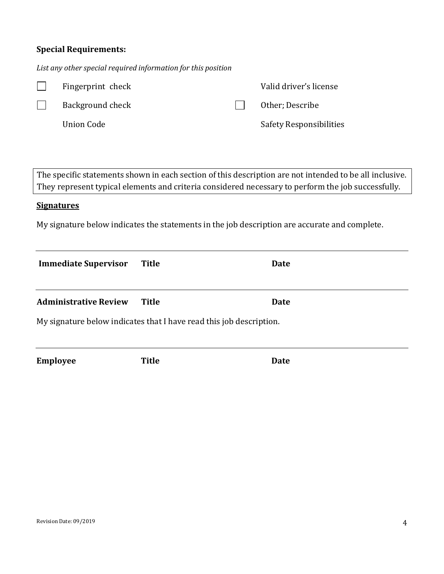# **Special Requirements:**

*List any other special required information for this position*

|                                                                                                                                                                                                               | Fingerprint check            |              |  | Valid driver's license         |  |  |
|---------------------------------------------------------------------------------------------------------------------------------------------------------------------------------------------------------------|------------------------------|--------------|--|--------------------------------|--|--|
|                                                                                                                                                                                                               | Background check             |              |  | Other; Describe                |  |  |
|                                                                                                                                                                                                               | <b>Union Code</b>            |              |  | <b>Safety Responsibilities</b> |  |  |
|                                                                                                                                                                                                               |                              |              |  |                                |  |  |
|                                                                                                                                                                                                               |                              |              |  |                                |  |  |
| The specific statements shown in each section of this description are not intended to be all inclusive.<br>They represent typical elements and criteria considered necessary to perform the job successfully. |                              |              |  |                                |  |  |
| <b>Signatures</b>                                                                                                                                                                                             |                              |              |  |                                |  |  |
| My signature below indicates the statements in the job description are accurate and complete.                                                                                                                 |                              |              |  |                                |  |  |
|                                                                                                                                                                                                               |                              |              |  |                                |  |  |
|                                                                                                                                                                                                               | <b>Immediate Supervisor</b>  | <b>Title</b> |  | Date                           |  |  |
|                                                                                                                                                                                                               |                              |              |  |                                |  |  |
|                                                                                                                                                                                                               | <b>Administrative Review</b> | <b>Title</b> |  | <b>Date</b>                    |  |  |
| My signature below indicates that I have read this job description.                                                                                                                                           |                              |              |  |                                |  |  |
|                                                                                                                                                                                                               |                              |              |  |                                |  |  |
| <b>Employee</b>                                                                                                                                                                                               |                              | <b>Title</b> |  | <b>Date</b>                    |  |  |